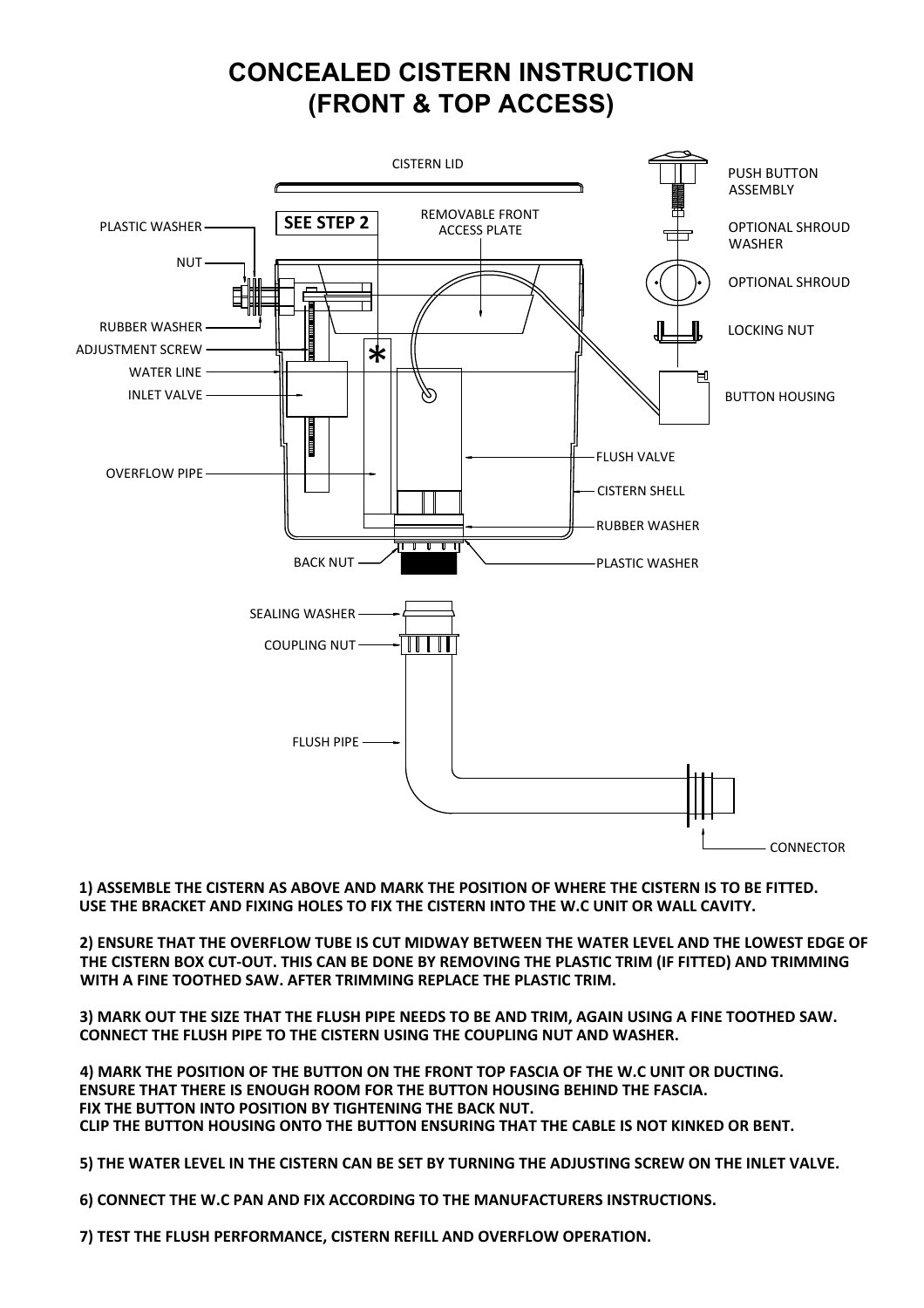## **CONCEALED CISTERN INSTRUCTION (FRONT & TOP ACCESS)**



**1) ASSEMBLE THE CISTERN AS ABOVE AND MARK THE POSITION OF WHERE THE CISTERN IS TO BE FITTED. USE THE BRACKET AND FIXING HOLES TO FIX THE CISTERN INTO THE W.C UNIT OR WALL CAVITY.**

**2) ENSURE THAT THE OVERFLOW TUBE IS CUT MIDWAY BETWEEN THE WATER LEVEL AND THE LOWEST EDGE OF THE CISTERN BOX CUT-OUT. THIS CAN BE DONE BY REMOVING THE PLASTIC TRIM (IF FITTED) AND TRIMMING WITH A FINE TOOTHED SAW. AFTER TRIMMING REPLACE THE PLASTIC TRIM.**

**3) MARK OUT THE SIZE THAT THE FLUSH PIPE NEEDS TO BE AND TRIM, AGAIN USING A FINE TOOTHED SAW. CONNECT THE FLUSH PIPE TO THE CISTERN USING THE COUPLING NUT AND WASHER.**

**4) MARK THE POSITION OF THE BUTTON ON THE FRONT TOP FASCIA OF THE W.C UNIT OR DUCTING. ENSURE THAT THERE IS ENOUGH ROOM FOR THE BUTTON HOUSING BEHIND THE FASCIA. FIX THE BUTTON INTO POSITION BY TIGHTENING THE BACK NUT. CLIP THE BUTTON HOUSING ONTO THE BUTTON ENSURING THAT THE CABLE IS NOT KINKED OR BENT.**

**5) THE WATER LEVEL IN THE CISTERN CAN BE SET BY TURNING THE ADJUSTING SCREW ON THE INLET VALVE.**

**6) CONNECT THE W.C PAN AND FIX ACCORDING TO THE MANUFACTURERS INSTRUCTIONS.**

**7) TEST THE FLUSH PERFORMANCE, CISTERN REFILL AND OVERFLOW OPERATION.**